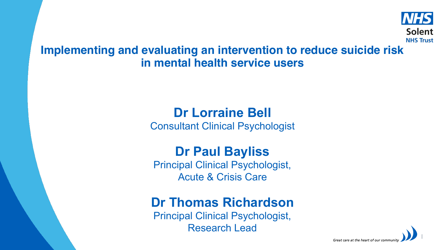

#### **Implementing and evaluating an intervention to reduce suicide risk in mental health service users**

# **Dr Lorraine Bell**

Consultant Clinical Psychologist

## **Dr Paul Bayliss**

Principal Clinical Psychologist, Acute & Crisis Care

## **Dr Thomas Richardson**

Principal Clinical Psychologist, Research Lead

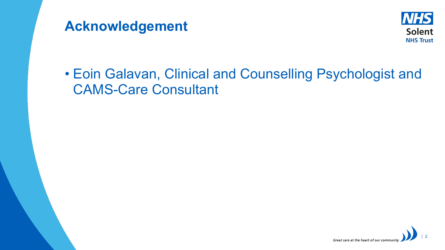



# • Eoin Galavan, Clinical and Counselling Psychologist and CAMS-Care Consultant

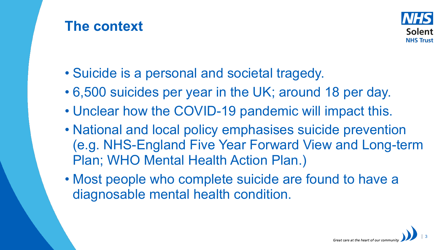# **The context**



- Suicide is a personal and societal tragedy.
- 6,500 suicides per year in the UK; around 18 per day.
- Unclear how the COVID-19 pandemic will impact this.
- National and local policy emphasises suicide prevention (e.g. NHS-England Five Year Forward View and Long-term Plan; WHO Mental Health Action Plan.)
- Most people who complete suicide are found to have a diagnosable mental health condition.

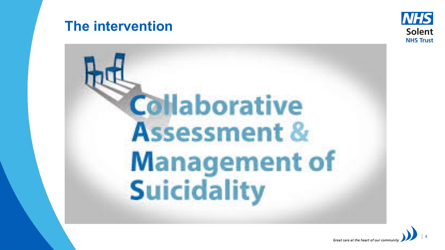## **The intervention**





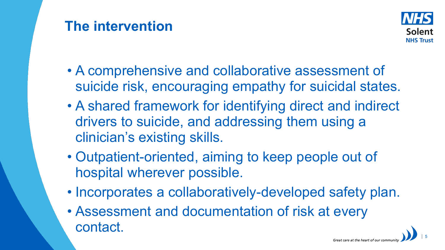# **The intervention**



- A comprehensive and collaborative assessment of suicide risk, encouraging empathy for suicidal states.
- A shared framework for identifying direct and indirect drivers to suicide, and addressing them using a clinician's existing skills.
- Outpatient-oriented, aiming to keep people out of hospital wherever possible.
- Incorporates a collaboratively-developed safety plan.
- Assessment and documentation of risk at every contact.

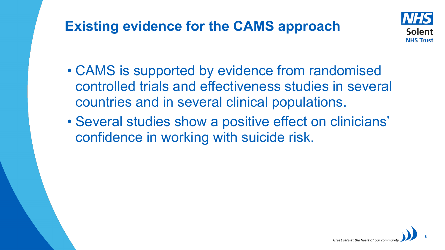# **Existing evidence for the CAMS approach**



- CAMS is supported by evidence from randomised controlled trials and effectiveness studies in several countries and in several clinical populations.
- Several studies show a positive effect on clinicians' confidence in working with suicide risk.

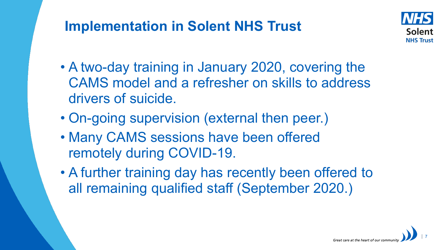# **Implementation in Solent NHS Trust**



- A two-day training in January 2020, covering the CAMS model and a refresher on skills to address drivers of suicide.
- On-going supervision (external then peer.)
- Many CAMS sessions have been offered remotely during COVID-19.
- A further training day has recently been offered to all remaining qualified staff (September 2020.)

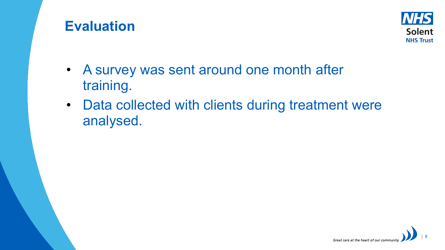## **Evaluation**



- A survey was sent around one month after training.
- Data collected with clients during treatment were analysed.

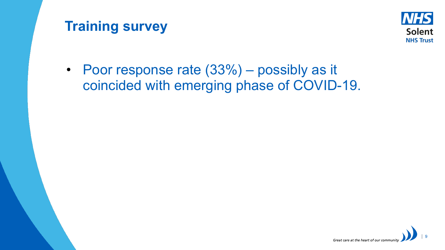# **Training survey**



• Poor response rate  $(33%)$  – possibly as it coincided with emerging phase of COVID-19.

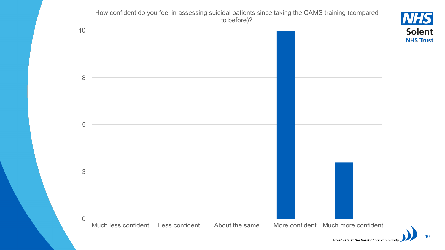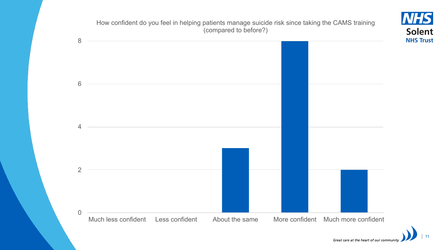

11

Great care at the heart of our community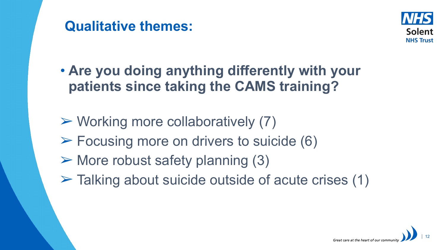



- **Are you doing anything differently with your patients since taking the CAMS training?**
- $\triangleright$  Working more collaboratively (7)
- $\triangleright$  Focusing more on drivers to suicide (6)
- $\triangleright$  More robust safety planning (3)
- $\triangleright$  Talking about suicide outside of acute crises (1)

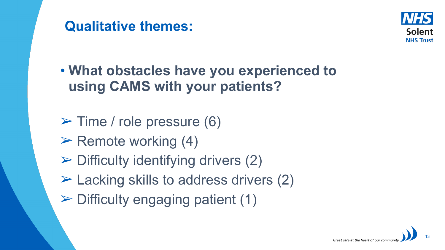



• **What obstacles have you experienced to using CAMS with your patients?**

- $\triangleright$  Time / role pressure (6)
- $\triangleright$  Remote working (4)
- $\triangleright$  Difficulty identifying drivers (2)
- $\triangleright$  Lacking skills to address drivers (2)
- $\triangleright$  Difficulty engaging patient (1)

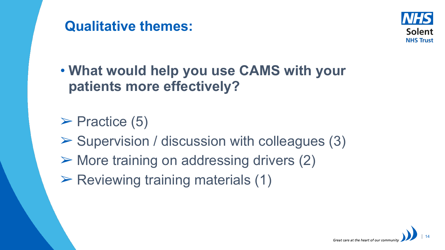



• **What would help you use CAMS with your patients more effectively?**

 $\triangleright$  Practice (5)

- $\triangleright$  Supervision / discussion with colleagues (3)
- ➢ More training on addressing drivers (2)
- $\triangleright$  Reviewing training materials (1)

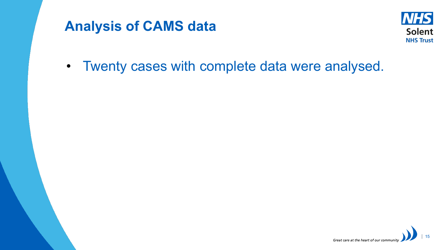# **Analysis of CAMS data**



• Twenty cases with complete data were analysed.

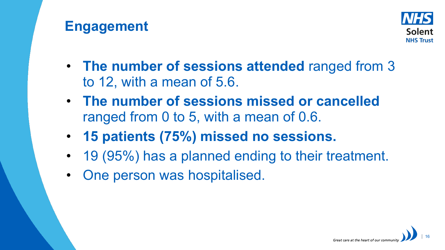# **Engagement**



- **The number of sessions attended** ranged from 3 to 12, with a mean of 5.6.
- **The number of sessions missed or cancelled**  ranged from 0 to 5, with a mean of 0.6.
- **15 patients (75%) missed no sessions.**
- 19 (95%) has a planned ending to their treatment.
- One person was hospitalised.

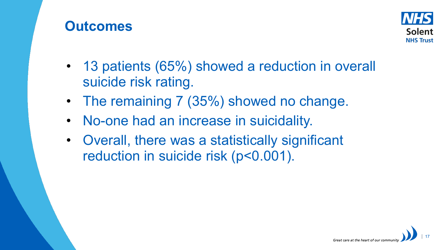## **Outcomes**



- 13 patients (65%) showed a reduction in overall suicide risk rating.
- The remaining 7 (35%) showed no change.
- No-one had an increase in suicidality.
- Overall, there was a statistically significant reduction in suicide risk (p<0.001).

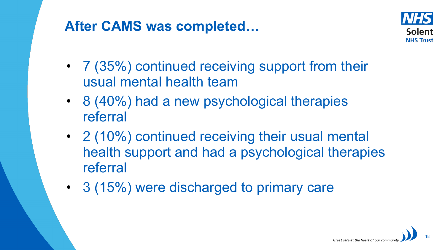# **After CAMS was completed…**



- 7 (35%) continued receiving support from their usual mental health team
- 8 (40%) had a new psychological therapies referral
- 2 (10%) continued receiving their usual mental health support and had a psychological therapies referral
- 3 (15%) were discharged to primary care